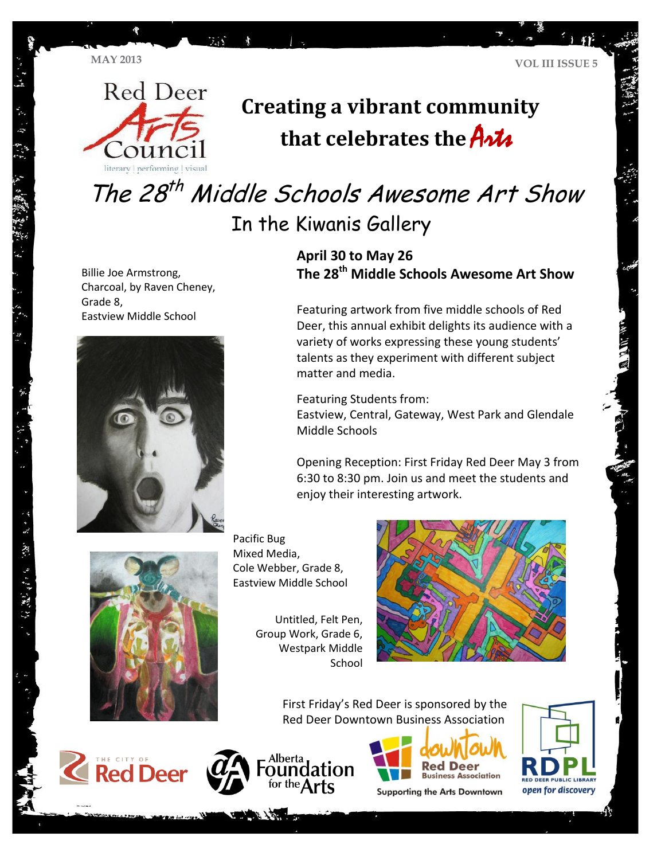

# **Creating a vibrant community**  that celebrates the **Arts**

The 28<sup>th</sup> Middle Schools Awesome Art Show In the Kiwanis Gallery

Billie Joe Armstrong, Charcoal, by Raven Cheney, Grade 8, Eastview Middle School



**April 30 to May 26 The 28th Middle Schools Awesome Art Show**

Featuring artwork from five middle schools of Red Deer, this annual exhibit delights its audience with a variety of works expressing these young students' talents as they experiment with different subject matter and media.

Featuring Students from: Eastview, Central, Gateway, West Park and Glendale Middle Schools

Opening Reception: First Friday Red Deer May 3 from 6:30 to 8:30 pm. Join us and meet the students and enjoy their interesting artwork.



Pacific Bug Mixed Media, Cole Webber, Grade 8, Eastview Middle School

> Untitled, Felt Pen, Group Work, Grade 6, Westpark Middle School



First Friday's Red Deer is sponsored by the Red Deer Downtown Business Association







**Supporting the Arts Downtown** 

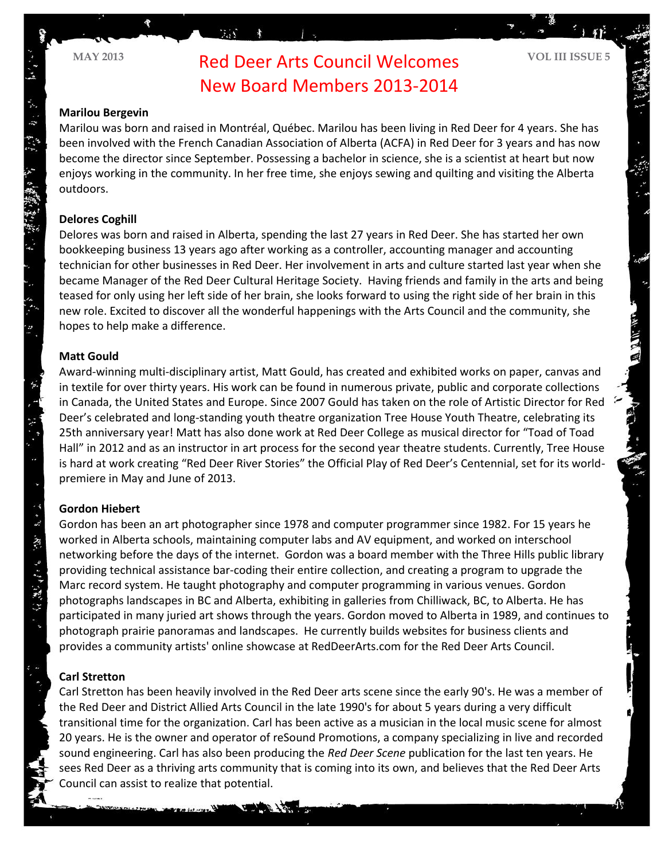**MAY <sup>2013</sup> VOL III ISSUE 5** Red Deer Arts Council Welcomes New Board Members 2013-2014

### **Marilou Bergevin**

Marilou was born and raised in Montréal, Québec. Marilou has been living in Red Deer for 4 years. She has been involved with the French Canadian Association of Alberta (ACFA) in Red Deer for 3 years and has now become the director since September. Possessing a bachelor in science, she is a scientist at heart but now enjoys working in the community. In her free time, she enjoys sewing and quilting and visiting the Alberta outdoors.

### **Delores Coghill**

Delores was born and raised in Alberta, spending the last 27 years in Red Deer. She has started her own bookkeeping business 13 years ago after working as a controller, accounting manager and accounting technician for other businesses in Red Deer. Her involvement in arts and culture started last year when she became Manager of the Red Deer Cultural Heritage Society. Having friends and family in the arts and being teased for only using her left side of her brain, she looks forward to using the right side of her brain in this new role. Excited to discover all the wonderful happenings with the Arts Council and the community, she hopes to help make a difference.

### **Matt Gould**

Award-winning multi-disciplinary artist, Matt Gould, has created and exhibited works on paper, canvas and in textile for over thirty years. His work can be found in numerous private, public and corporate collections in Canada, the United States and Europe. Since 2007 Gould has taken on the role of Artistic Director for Red Deer's celebrated and long-standing youth theatre organization Tree House Youth Theatre, celebrating its 25th anniversary year! Matt has also done work at Red Deer College as musical director for "Toad of Toad Hall" in 2012 and as an instructor in art process for the second year theatre students. Currently, Tree House is hard at work creating "Red Deer River Stories" the Official Play of Red Deer's Centennial, set for its worldpremiere in May and June of 2013.

### **Gordon Hiebert**

 $\ddot{\tilde{\mathbf{z}}}$  $\mathcal{R}_{\mathcal{C}}$ 

分離 ほっ

Gordon has been an art photographer since 1978 and computer programmer since 1982. For 15 years he worked in Alberta schools, maintaining computer labs and AV equipment, and worked on interschool networking before the days of the internet. Gordon was a board member with the Three Hills public library providing technical assistance bar-coding their entire collection, and creating a program to upgrade the Marc record system. He taught photography and computer programming in various venues. Gordon photographs landscapes in BC and Alberta, exhibiting in galleries from Chilliwack, BC, to Alberta. He has participated in many juried art shows through the years. Gordon moved to Alberta in 1989, and continues to photograph prairie panoramas and landscapes. He currently builds websites for business clients and provides a community artists' online showcase at RedDeerArts.com for the Red Deer Arts Council.

### **Carl Stretton**

Carl Stretton has been heavily involved in the Red Deer arts scene since the early 90's. He was a member of the Red Deer and District Allied Arts Council in the late 1990's for about 5 years during a very difficult transitional time for the organization. Carl has been active as a musician in the local music scene for almost 20 years. He is the owner and operator of reSound Promotions, a company specializing in live and recorded sound engineering. Carl has also been producing the *Red Deer Scene* publication for the last ten years. He sees Red Deer as a thriving arts community that is coming into its own, and believes that the Red Deer Arts Council can assist to realize that potential.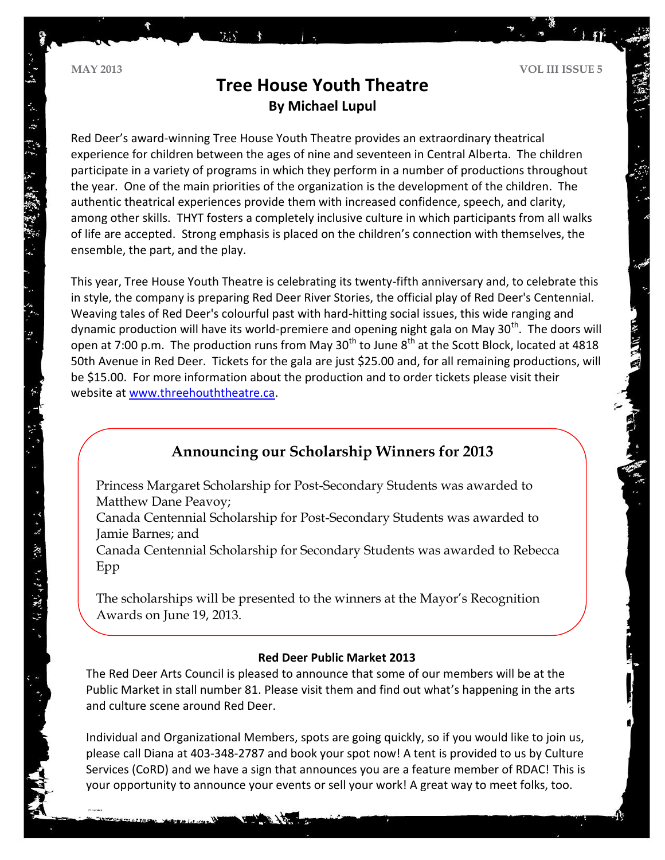てんてい 不安 きょう アルトル アルーズ

# **Tree House Youth Theatre By Michael Lupul**

Red Deer's award-winning Tree House Youth Theatre provides an extraordinary theatrical experience for children between the ages of nine and seventeen in Central Alberta. The children participate in a variety of programs in which they perform in a number of productions throughout the year. One of the main priorities of the organization is the development of the children. The authentic theatrical experiences provide them with increased confidence, speech, and clarity, among other skills. THYT fosters a completely inclusive culture in which participants from all walks of life are accepted. Strong emphasis is placed on the children's connection with themselves, the ensemble, the part, and the play.

This year, Tree House Youth Theatre is celebrating its twenty-fifth anniversary and, to celebrate this in style, the company is preparing Red Deer River Stories, the official play of Red Deer's Centennial. Weaving tales of Red Deer's colourful past with hard-hitting social issues, this wide ranging and dynamic production will have its world-premiere and opening night gala on May 30<sup>th</sup>. The doors will open at 7:00 p.m. The production runs from May  $30<sup>th</sup>$  to June  $8<sup>th</sup>$  at the Scott Block, located at 4818 50th Avenue in Red Deer. Tickets for the gala are just \$25.00 and, for all remaining productions, will be \$15.00. For more information about the production and to order tickets please visit their website a[t www.threehouththeatre.ca.](http://www.threehouththeatre.ca/)

# **Announcing our Scholarship Winners for 2013**

Princess Margaret Scholarship for Post-Secondary Students was awarded to Matthew Dane Peavoy;

Canada Centennial Scholarship for Post-Secondary Students was awarded to Jamie Barnes; and

Canada Centennial Scholarship for Secondary Students was awarded to Rebecca Epp

The scholarships will be presented to the winners at the Mayor's Recognition Awards on June 19, 2013.

### **Red Deer Public Market 2013**

The Red Deer Arts Council is pleased to announce that some of our members will be at the Public Market in stall number 81. Please visit them and find out what's happening in the arts and culture scene around Red Deer.

Individual and Organizational Members, spots are going quickly, so if you would like to join us, please call Diana at 403-348-2787 and book your spot now! A tent is provided to us by Culture Services (CoRD) and we have a sign that announces you are a feature member of RDAC! This is your opportunity to announce your events or sell your work! A great way to meet folks, too.